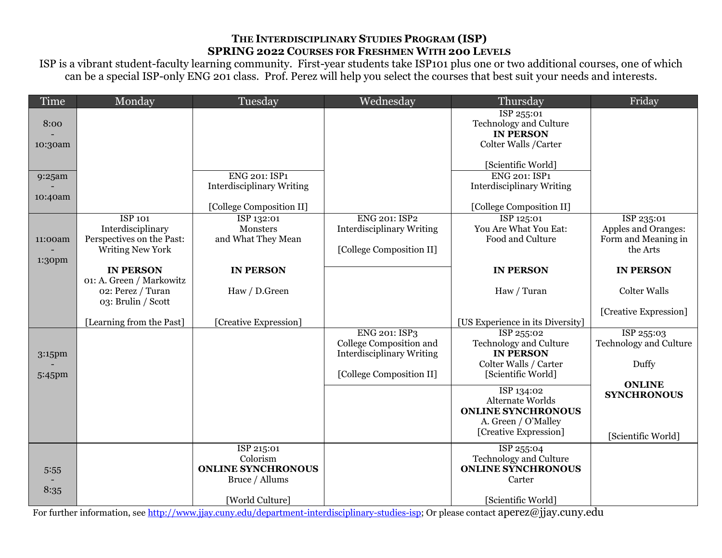## **THE INTERDISCIPLINARY STUDIES PROGRAM (ISP) SPRING 2022 COURSES FOR FRESHMEN WITH 200 LEVELS**

ISP is a vibrant student-faculty learning community. First-year students take ISP101 plus one or two additional courses, one of which can be a special ISP-only ENG 201 class. Prof. Perez will help you select the courses that best suit your needs and interests.

| Time    | Monday                    | Tuesday                          | Wednesday                        | Thursday                                          | Friday                        |
|---------|---------------------------|----------------------------------|----------------------------------|---------------------------------------------------|-------------------------------|
|         |                           |                                  |                                  | ISP 255:01                                        |                               |
| 8:00    |                           |                                  |                                  | <b>Technology and Culture</b><br><b>IN PERSON</b> |                               |
| 10:30am |                           |                                  |                                  | Colter Walls /Carter                              |                               |
|         |                           |                                  |                                  |                                                   |                               |
|         |                           |                                  |                                  | [Scientific World]                                |                               |
| 9:25am  |                           | <b>ENG 201: ISP1</b>             |                                  | <b>ENG 201: ISP1</b>                              |                               |
|         |                           | <b>Interdisciplinary Writing</b> |                                  | <b>Interdisciplinary Writing</b>                  |                               |
| 10:40am |                           | [College Composition II]         |                                  | [College Composition II]                          |                               |
|         | <b>ISP 101</b>            | ISP 132:01                       | <b>ENG 201: ISP2</b>             | ISP 125:01                                        | ISP 235:01                    |
|         | Interdisciplinary         | Monsters                         | <b>Interdisciplinary Writing</b> | You Are What You Eat:                             | Apples and Oranges:           |
| 11:00am | Perspectives on the Past: | and What They Mean               |                                  | Food and Culture                                  | Form and Meaning in           |
|         | <b>Writing New York</b>   |                                  | [College Composition II]         |                                                   | the Arts                      |
| 1:30pm  | <b>IN PERSON</b>          | <b>IN PERSON</b>                 |                                  | <b>IN PERSON</b>                                  | <b>IN PERSON</b>              |
|         | 01: A. Green / Markowitz  |                                  |                                  |                                                   |                               |
|         | 02: Perez / Turan         | Haw / D.Green                    |                                  | Haw / Turan                                       | <b>Colter Walls</b>           |
|         | 03: Brulin / Scott        |                                  |                                  |                                                   |                               |
|         | [Learning from the Past]  | [Creative Expression]            |                                  | [US Experience in its Diversity]                  | [Creative Expression]         |
|         |                           |                                  | <b>ENG 201: ISP3</b>             | ISP 255:02                                        | ISP 255:03                    |
|         |                           |                                  | College Composition and          | <b>Technology and Culture</b>                     | <b>Technology and Culture</b> |
| 3:15pm  |                           |                                  | <b>Interdisciplinary Writing</b> | <b>IN PERSON</b>                                  |                               |
|         |                           |                                  | [College Composition II]         | Colter Walls / Carter<br>[Scientific World]       | Duffy                         |
| 5:45pm  |                           |                                  |                                  |                                                   | <b>ONLINE</b>                 |
|         |                           |                                  |                                  | ISP 134:02                                        | <b>SYNCHRONOUS</b>            |
|         |                           |                                  |                                  | Alternate Worlds<br><b>ONLINE SYNCHRONOUS</b>     |                               |
|         |                           |                                  |                                  | A. Green / O'Malley                               |                               |
|         |                           |                                  |                                  | [Creative Expression]                             | [Scientific World]            |
|         |                           | ISP 215:01                       |                                  | ISP 255:04                                        |                               |
|         |                           | Colorism                         |                                  | Technology and Culture                            |                               |
| 5:55    |                           | <b>ONLINE SYNCHRONOUS</b>        |                                  | <b>ONLINE SYNCHRONOUS</b>                         |                               |
| 8:35    |                           | Bruce / Allums                   |                                  | Carter                                            |                               |
|         |                           | [World Culture]                  |                                  | [Scientific World]                                |                               |

For further information, see [http://www.jjay.cuny.edu/department-interdisciplinary-studies-isp;](http://www.jjay.cuny.edu/department-interdisciplinary-studies-isp) Or please contact aperez@jjay.cuny.edu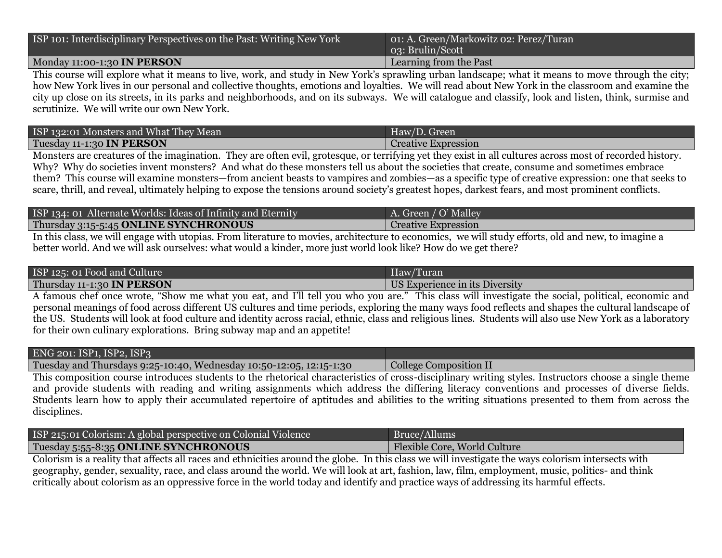| ISP 101: Interdisciplinary Perspectives on the Past: Writing New York | o1: A. Green/Markowitz 02: Perez/Turan<br>03: Brulin/Scott |
|-----------------------------------------------------------------------|------------------------------------------------------------|
| Monday 11:00-1:30 IN PERSON                                           | Learning from the Past                                     |

This course will explore what it means to live, work, and study in New York's sprawling urban landscape; what it means to move through the city; how New York lives in our personal and collective thoughts, emotions and loyalties. We will read about New York in the classroom and examine the city up close on its streets, in its parks and neighborhoods, and on its subways. We will catalogue and classify, look and listen, think, surmise and scrutinize. We will write our own New York.

| ISP 132:01 Monsters and What They Mean | Haw/D. Green                                                                                                         |
|----------------------------------------|----------------------------------------------------------------------------------------------------------------------|
| Tuesday 11-1:30 IN PERSON              | Creative Expression                                                                                                  |
|                                        | the contract of the contract of the contract of the contract of the contract of<br><b>Contract Contract Contract</b> |

Monsters are creatures of the imagination. They are often evil, grotesque, or terrifying yet they exist in all cultures across most of recorded history. Why? Why do societies invent monsters? And what do these monsters tell us about the societies that create, consume and sometimes embrace them? This course will examine monsters—from ancient beasts to vampires and zombies—as a specific type of creative expression: one that seeks to scare, thrill, and reveal, ultimately helping to expose the tensions around society's greatest hopes, darkest fears, and most prominent conflicts.

| ISP 134: 01 Alternate Worlds: Ideas of Infinity and Eternity | A. Green / O' Malley       |
|--------------------------------------------------------------|----------------------------|
| Thursday 3:15-5:45 ONLINE SYNCHRONOUS                        | <b>Creative Expression</b> |
|                                                              |                            |

In this class, we will engage with utopias. From literature to movies, architecture to economics, we will study efforts, old and new, to imagine a better world. And we will ask ourselves: what would a kinder, more just world look like? How do we get there?

| ISP 125: 01 Food and Culture | Haw/Turan                      |
|------------------------------|--------------------------------|
| Thursday 11-1:30 IN PERSON   | US Experience in its Diversity |

A famous chef once wrote, "Show me what you eat, and I'll tell you who you are." This class will investigate the social, political, economic and personal meanings of food across different US cultures and time periods, exploring the many ways food reflects and shapes the cultural landscape of the US. Students will look at food culture and identity across racial, ethnic, class and religious lines. Students will also use New York as a laboratory for their own culinary explorations. Bring subway map and an appetite!

| ENG 201: ISP1, ISP2, ISP3                                                                                                                             |                        |  |
|-------------------------------------------------------------------------------------------------------------------------------------------------------|------------------------|--|
| Tuesday and Thursdays 9:25-10:40, Wednesday 10:50-12:05, 12:15-1:30                                                                                   | College Composition II |  |
| This composition course introduces students to the rhetorical characteristics of cross-disciplinary writing styles. Instructors choose a single theme |                        |  |

and provide students with reading and writing assignments which address the differing literacy conventions and processes of diverse fields. Students learn how to apply their accumulated repertoire of aptitudes and abilities to the writing situations presented to them from across the disciplines.

| ISP 215:01 Colorism: A global perspective on Colonial Violence | Bruce/Allums                 |
|----------------------------------------------------------------|------------------------------|
| Tuesday 5:55-8:35 ONLINE SYNCHRONOUS                           | Flexible Core, World Culture |
|                                                                |                              |

Colorism is a reality that affects all races and ethnicities around the globe. In this class we will investigate the ways colorism intersects with geography, gender, sexuality, race, and class around the world. We will look at art, fashion, law, film, employment, music, politics- and think critically about colorism as an oppressive force in the world today and identify and practice ways of addressing its harmful effects.